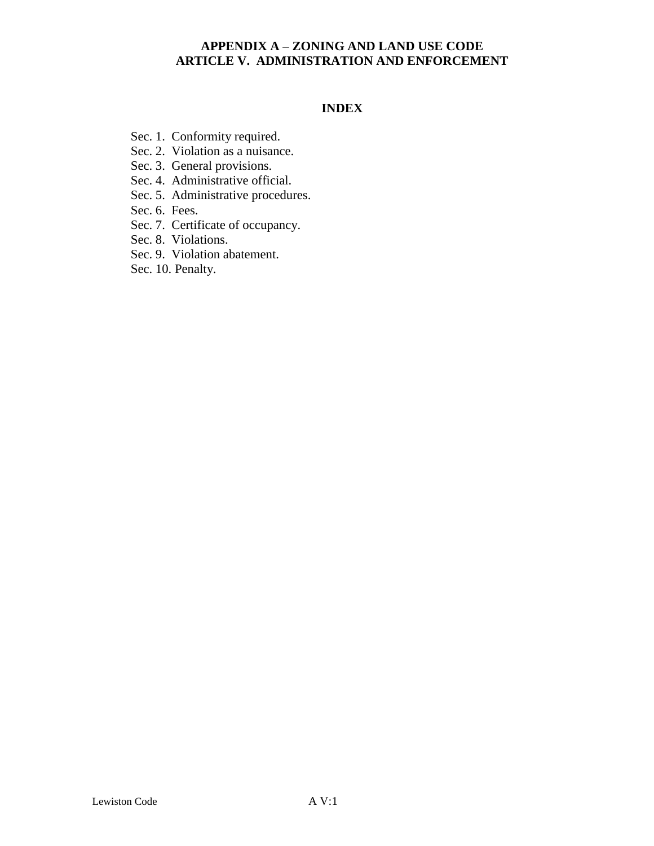### **INDEX**

- Sec. 1. Conformity required.
- Sec. 2. Violation as a nuisance.
- Sec. 3. General provisions.
- Sec. 4. Administrative official.
- Sec. 5. Administrative procedures.
- Sec. 6. Fees.
- Sec. 7. Certificate of occupancy.
- Sec. 8. Violations.
- Sec. 9. Violation abatement.
- Sec. 10. Penalty.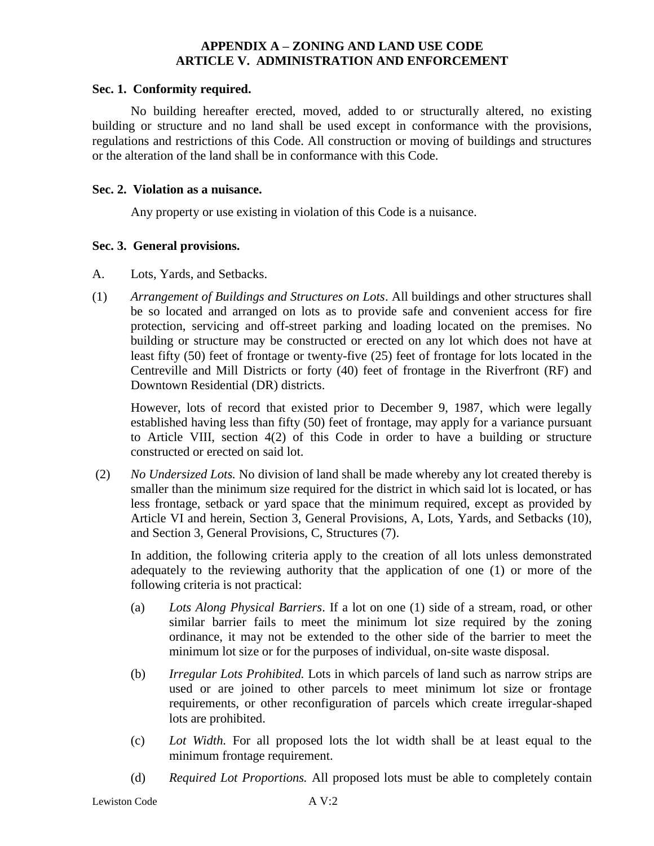#### **Sec. 1. Conformity required.**

No building hereafter erected, moved, added to or structurally altered, no existing building or structure and no land shall be used except in conformance with the provisions, regulations and restrictions of this Code. All construction or moving of buildings and structures or the alteration of the land shall be in conformance with this Code.

#### **Sec. 2. Violation as a nuisance.**

Any property or use existing in violation of this Code is a nuisance.

### **Sec. 3. General provisions.**

- A. Lots, Yards, and Setbacks.
- (1) *Arrangement of Buildings and Structures on Lots*. All buildings and other structures shall be so located and arranged on lots as to provide safe and convenient access for fire protection, servicing and off-street parking and loading located on the premises. No building or structure may be constructed or erected on any lot which does not have at least fifty (50) feet of frontage or twenty-five (25) feet of frontage for lots located in the Centreville and Mill Districts or forty (40) feet of frontage in the Riverfront (RF) and Downtown Residential (DR) districts.

However, lots of record that existed prior to December 9, 1987, which were legally established having less than fifty (50) feet of frontage, may apply for a variance pursuant to Article VIII, section 4(2) of this Code in order to have a building or structure constructed or erected on said lot.

(2) *No Undersized Lots.* No division of land shall be made whereby any lot created thereby is smaller than the minimum size required for the district in which said lot is located, or has less frontage, setback or yard space that the minimum required, except as provided by Article VI and herein, Section 3, General Provisions, A, Lots, Yards, and Setbacks (10), and Section 3, General Provisions, C, Structures (7).

In addition, the following criteria apply to the creation of all lots unless demonstrated adequately to the reviewing authority that the application of one (1) or more of the following criteria is not practical:

- (a) *Lots Along Physical Barriers*. If a lot on one (1) side of a stream, road, or other similar barrier fails to meet the minimum lot size required by the zoning ordinance, it may not be extended to the other side of the barrier to meet the minimum lot size or for the purposes of individual, on-site waste disposal.
- (b) *Irregular Lots Prohibited.* Lots in which parcels of land such as narrow strips are used or are joined to other parcels to meet minimum lot size or frontage requirements, or other reconfiguration of parcels which create irregular-shaped lots are prohibited.
- (c) *Lot Width.* For all proposed lots the lot width shall be at least equal to the minimum frontage requirement.
- (d) *Required Lot Proportions.* All proposed lots must be able to completely contain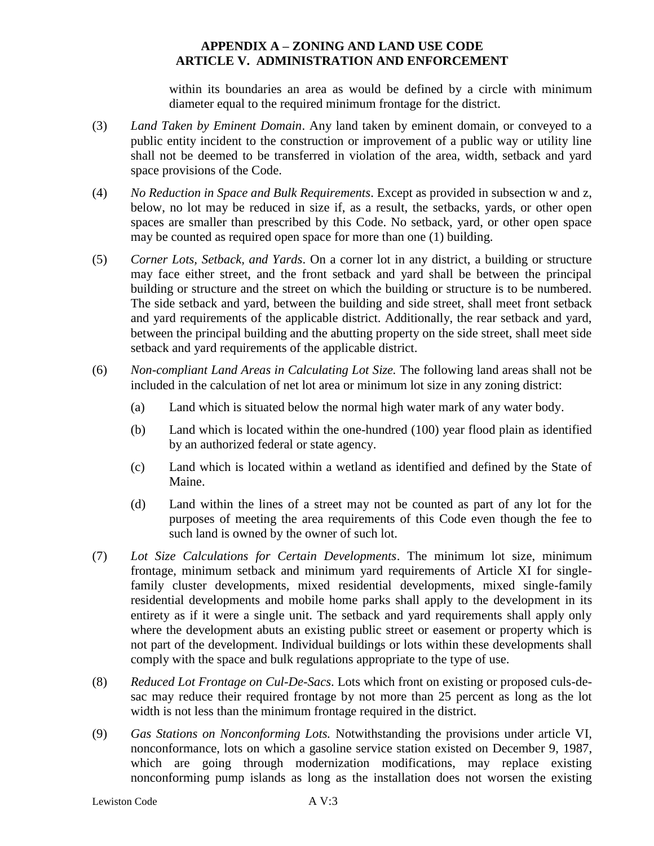within its boundaries an area as would be defined by a circle with minimum diameter equal to the required minimum frontage for the district.

- (3) *Land Taken by Eminent Domain*. Any land taken by eminent domain, or conveyed to a public entity incident to the construction or improvement of a public way or utility line shall not be deemed to be transferred in violation of the area, width, setback and yard space provisions of the Code.
- (4) *No Reduction in Space and Bulk Requirements*. Except as provided in subsection w and z, below, no lot may be reduced in size if, as a result, the setbacks, yards, or other open spaces are smaller than prescribed by this Code. No setback, yard, or other open space may be counted as required open space for more than one (1) building.
- (5) *Corner Lots, Setback, and Yards*. On a corner lot in any district, a building or structure may face either street, and the front setback and yard shall be between the principal building or structure and the street on which the building or structure is to be numbered. The side setback and yard, between the building and side street, shall meet front setback and yard requirements of the applicable district. Additionally, the rear setback and yard, between the principal building and the abutting property on the side street, shall meet side setback and yard requirements of the applicable district.
- (6) *Non-compliant Land Areas in Calculating Lot Size.* The following land areas shall not be included in the calculation of net lot area or minimum lot size in any zoning district:
	- (a) Land which is situated below the normal high water mark of any water body.
	- (b) Land which is located within the one-hundred (100) year flood plain as identified by an authorized federal or state agency.
	- (c) Land which is located within a wetland as identified and defined by the State of Maine.
	- (d) Land within the lines of a street may not be counted as part of any lot for the purposes of meeting the area requirements of this Code even though the fee to such land is owned by the owner of such lot.
- (7) *Lot Size Calculations for Certain Developments*. The minimum lot size, minimum frontage, minimum setback and minimum yard requirements of Article XI for singlefamily cluster developments, mixed residential developments, mixed single-family residential developments and mobile home parks shall apply to the development in its entirety as if it were a single unit. The setback and yard requirements shall apply only where the development abuts an existing public street or easement or property which is not part of the development. Individual buildings or lots within these developments shall comply with the space and bulk regulations appropriate to the type of use.
- (8) *Reduced Lot Frontage on Cul-De-Sacs*. Lots which front on existing or proposed culs-desac may reduce their required frontage by not more than 25 percent as long as the lot width is not less than the minimum frontage required in the district.
- (9) *Gas Stations on Nonconforming Lots.* Notwithstanding the provisions under article VI, nonconformance, lots on which a gasoline service station existed on December 9, 1987, which are going through modernization modifications, may replace existing nonconforming pump islands as long as the installation does not worsen the existing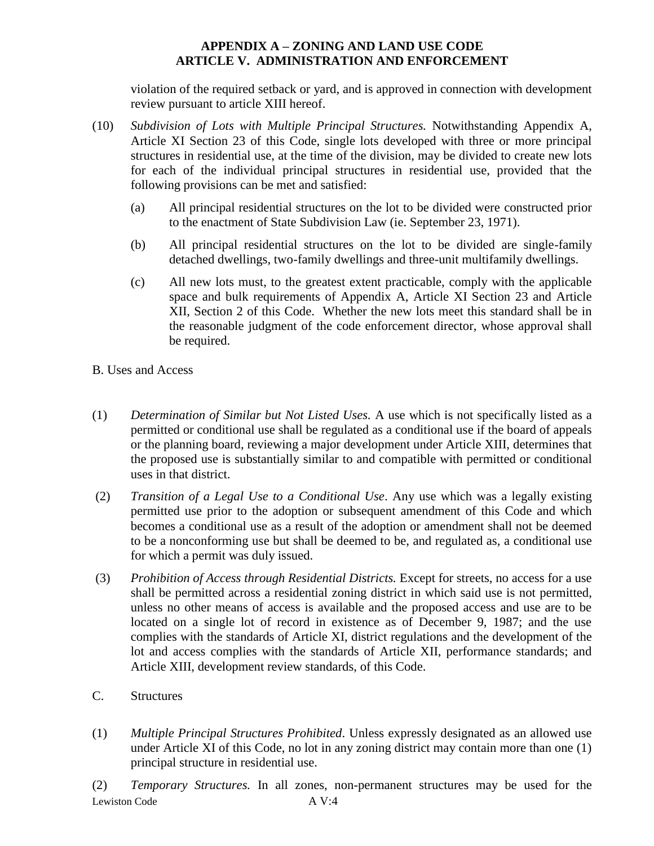violation of the required setback or yard, and is approved in connection with development review pursuant to article XIII hereof.

- (10) *Subdivision of Lots with Multiple Principal Structures.* Notwithstanding Appendix A, Article XI Section 23 of this Code, single lots developed with three or more principal structures in residential use, at the time of the division, may be divided to create new lots for each of the individual principal structures in residential use, provided that the following provisions can be met and satisfied:
	- (a) All principal residential structures on the lot to be divided were constructed prior to the enactment of State Subdivision Law (ie. September 23, 1971).
	- (b) All principal residential structures on the lot to be divided are single-family detached dwellings, two-family dwellings and three-unit multifamily dwellings.
	- (c) All new lots must, to the greatest extent practicable, comply with the applicable space and bulk requirements of Appendix A, Article XI Section 23 and Article XII, Section 2 of this Code. Whether the new lots meet this standard shall be in the reasonable judgment of the code enforcement director, whose approval shall be required.
- B. Uses and Access
- (1) *Determination of Similar but Not Listed Uses.* A use which is not specifically listed as a permitted or conditional use shall be regulated as a conditional use if the board of appeals or the planning board, reviewing a major development under Article XIII, determines that the proposed use is substantially similar to and compatible with permitted or conditional uses in that district.
- (2) *Transition of a Legal Use to a Conditional Use*. Any use which was a legally existing permitted use prior to the adoption or subsequent amendment of this Code and which becomes a conditional use as a result of the adoption or amendment shall not be deemed to be a nonconforming use but shall be deemed to be, and regulated as, a conditional use for which a permit was duly issued.
- (3) *Prohibition of Access through Residential Districts.* Except for streets, no access for a use shall be permitted across a residential zoning district in which said use is not permitted, unless no other means of access is available and the proposed access and use are to be located on a single lot of record in existence as of December 9, 1987; and the use complies with the standards of Article XI, district regulations and the development of the lot and access complies with the standards of Article XII, performance standards; and Article XIII, development review standards, of this Code.
- C. Structures
- (1) *Multiple Principal Structures Prohibited*. Unless expressly designated as an allowed use under Article XI of this Code, no lot in any zoning district may contain more than one (1) principal structure in residential use.

Lewiston Code A V:4 (2) *Temporary Structures.* In all zones, non-permanent structures may be used for the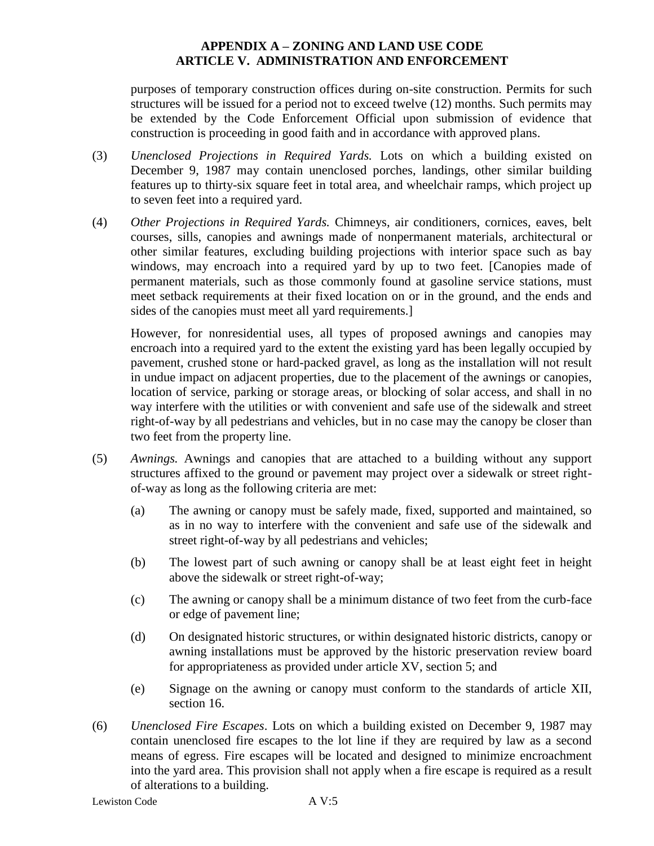purposes of temporary construction offices during on-site construction. Permits for such structures will be issued for a period not to exceed twelve (12) months. Such permits may be extended by the Code Enforcement Official upon submission of evidence that construction is proceeding in good faith and in accordance with approved plans.

- (3) *Unenclosed Projections in Required Yards.* Lots on which a building existed on December 9, 1987 may contain unenclosed porches, landings, other similar building features up to thirty-six square feet in total area, and wheelchair ramps, which project up to seven feet into a required yard.
- (4) *Other Projections in Required Yards.* Chimneys, air conditioners, cornices, eaves, belt courses, sills, canopies and awnings made of nonpermanent materials, architectural or other similar features, excluding building projections with interior space such as bay windows, may encroach into a required yard by up to two feet. [Canopies made of permanent materials, such as those commonly found at gasoline service stations, must meet setback requirements at their fixed location on or in the ground, and the ends and sides of the canopies must meet all yard requirements.]

However, for nonresidential uses, all types of proposed awnings and canopies may encroach into a required yard to the extent the existing yard has been legally occupied by pavement, crushed stone or hard-packed gravel, as long as the installation will not result in undue impact on adjacent properties, due to the placement of the awnings or canopies, location of service, parking or storage areas, or blocking of solar access, and shall in no way interfere with the utilities or with convenient and safe use of the sidewalk and street right-of-way by all pedestrians and vehicles, but in no case may the canopy be closer than two feet from the property line.

- (5) *Awnings.* Awnings and canopies that are attached to a building without any support structures affixed to the ground or pavement may project over a sidewalk or street rightof-way as long as the following criteria are met:
	- (a) The awning or canopy must be safely made, fixed, supported and maintained, so as in no way to interfere with the convenient and safe use of the sidewalk and street right-of-way by all pedestrians and vehicles;
	- (b) The lowest part of such awning or canopy shall be at least eight feet in height above the sidewalk or street right-of-way;
	- (c) The awning or canopy shall be a minimum distance of two feet from the curb-face or edge of pavement line;
	- (d) On designated historic structures, or within designated historic districts, canopy or awning installations must be approved by the historic preservation review board for appropriateness as provided under article XV, section 5; and
	- (e) Signage on the awning or canopy must conform to the standards of article XII, section 16.
- (6) *Unenclosed Fire Escapes*. Lots on which a building existed on December 9, 1987 may contain unenclosed fire escapes to the lot line if they are required by law as a second means of egress. Fire escapes will be located and designed to minimize encroachment into the yard area. This provision shall not apply when a fire escape is required as a result of alterations to a building.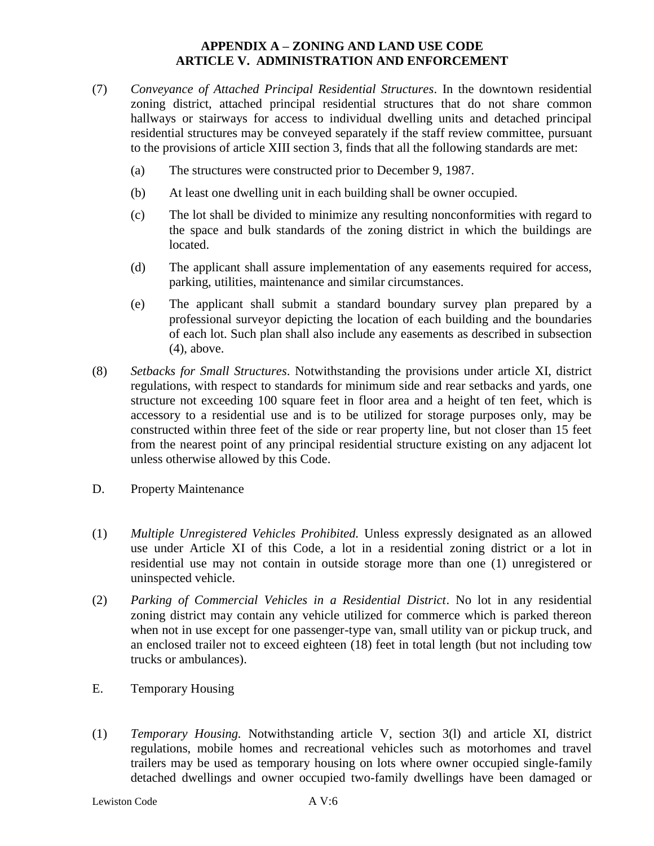- (7) *Conveyance of Attached Principal Residential Structures*. In the downtown residential zoning district, attached principal residential structures that do not share common hallways or stairways for access to individual dwelling units and detached principal residential structures may be conveyed separately if the staff review committee, pursuant to the provisions of article XIII section 3, finds that all the following standards are met:
	- (a) The structures were constructed prior to December 9, 1987.
	- (b) At least one dwelling unit in each building shall be owner occupied.
	- (c) The lot shall be divided to minimize any resulting nonconformities with regard to the space and bulk standards of the zoning district in which the buildings are located.
	- (d) The applicant shall assure implementation of any easements required for access, parking, utilities, maintenance and similar circumstances.
	- (e) The applicant shall submit a standard boundary survey plan prepared by a professional surveyor depicting the location of each building and the boundaries of each lot. Such plan shall also include any easements as described in subsection (4), above.
- (8) *Setbacks for Small Structures*. Notwithstanding the provisions under article XI, district regulations, with respect to standards for minimum side and rear setbacks and yards, one structure not exceeding 100 square feet in floor area and a height of ten feet, which is accessory to a residential use and is to be utilized for storage purposes only, may be constructed within three feet of the side or rear property line, but not closer than 15 feet from the nearest point of any principal residential structure existing on any adjacent lot unless otherwise allowed by this Code.
- D. Property Maintenance
- (1) *Multiple Unregistered Vehicles Prohibited.* Unless expressly designated as an allowed use under Article XI of this Code, a lot in a residential zoning district or a lot in residential use may not contain in outside storage more than one (1) unregistered or uninspected vehicle.
- (2) *Parking of Commercial Vehicles in a Residential District*. No lot in any residential zoning district may contain any vehicle utilized for commerce which is parked thereon when not in use except for one passenger-type van, small utility van or pickup truck, and an enclosed trailer not to exceed eighteen (18) feet in total length (but not including tow trucks or ambulances).
- E. Temporary Housing
- (1) *Temporary Housing.* Notwithstanding article V, section 3(l) and article XI, district regulations, mobile homes and recreational vehicles such as motorhomes and travel trailers may be used as temporary housing on lots where owner occupied single-family detached dwellings and owner occupied two-family dwellings have been damaged or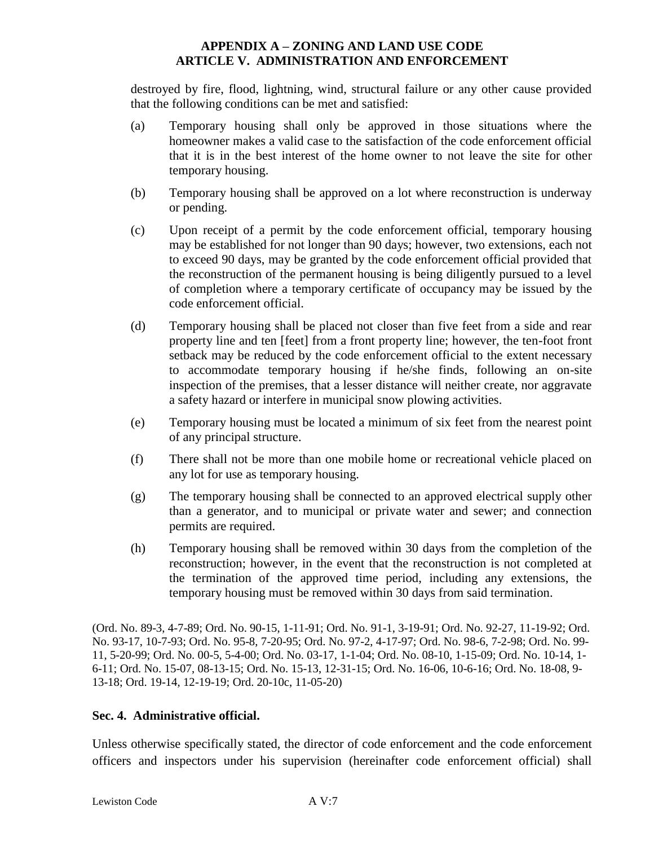destroyed by fire, flood, lightning, wind, structural failure or any other cause provided that the following conditions can be met and satisfied:

- (a) Temporary housing shall only be approved in those situations where the homeowner makes a valid case to the satisfaction of the code enforcement official that it is in the best interest of the home owner to not leave the site for other temporary housing.
- (b) Temporary housing shall be approved on a lot where reconstruction is underway or pending.
- (c) Upon receipt of a permit by the code enforcement official, temporary housing may be established for not longer than 90 days; however, two extensions, each not to exceed 90 days, may be granted by the code enforcement official provided that the reconstruction of the permanent housing is being diligently pursued to a level of completion where a temporary certificate of occupancy may be issued by the code enforcement official.
- (d) Temporary housing shall be placed not closer than five feet from a side and rear property line and ten [feet] from a front property line; however, the ten-foot front setback may be reduced by the code enforcement official to the extent necessary to accommodate temporary housing if he/she finds, following an on-site inspection of the premises, that a lesser distance will neither create, nor aggravate a safety hazard or interfere in municipal snow plowing activities.
- (e) Temporary housing must be located a minimum of six feet from the nearest point of any principal structure.
- (f) There shall not be more than one mobile home or recreational vehicle placed on any lot for use as temporary housing.
- (g) The temporary housing shall be connected to an approved electrical supply other than a generator, and to municipal or private water and sewer; and connection permits are required.
- (h) Temporary housing shall be removed within 30 days from the completion of the reconstruction; however, in the event that the reconstruction is not completed at the termination of the approved time period, including any extensions, the temporary housing must be removed within 30 days from said termination.

(Ord. No. 89-3, 4-7-89; Ord. No. 90-15, 1-11-91; Ord. No. 91-1, 3-19-91; Ord. No. 92-27, 11-19-92; Ord. No. 93-17, 10-7-93; Ord. No. 95-8, 7-20-95; Ord. No. 97-2, 4-17-97; Ord. No. 98-6, 7-2-98; Ord. No. 99- 11, 5-20-99; Ord. No. 00-5, 5-4-00; Ord. No. 03-17, 1-1-04; Ord. No. 08-10, 1-15-09; Ord. No. 10-14, 1- 6-11; Ord. No. 15-07, 08-13-15; Ord. No. 15-13, 12-31-15; Ord. No. 16-06, 10-6-16; Ord. No. 18-08, 9- 13-18; Ord. 19-14, 12-19-19; Ord. 20-10c, 11-05-20)

# **Sec. 4. Administrative official.**

Unless otherwise specifically stated, the director of code enforcement and the code enforcement officers and inspectors under his supervision (hereinafter code enforcement official) shall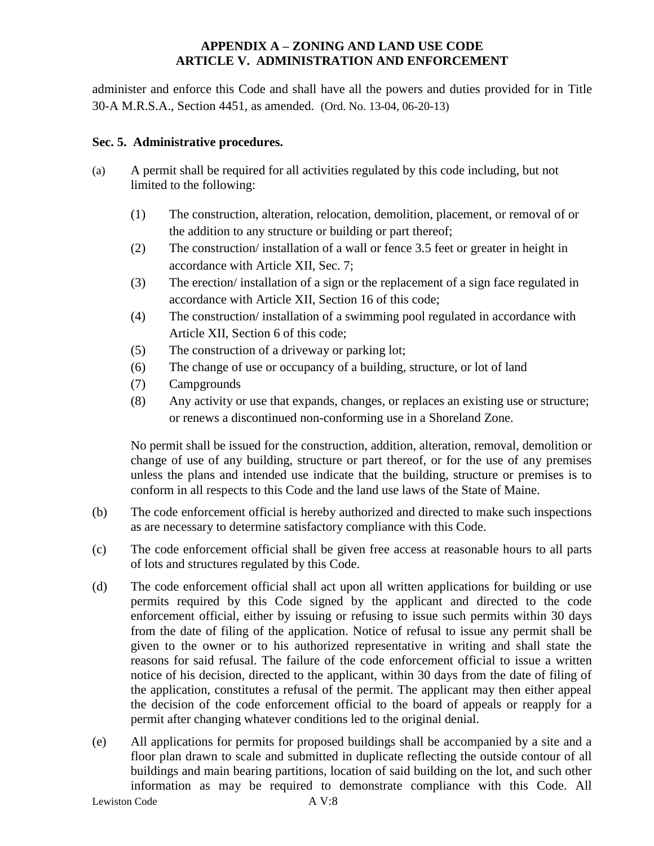administer and enforce this Code and shall have all the powers and duties provided for in Title 30-A M.R.S.A., Section 4451, as amended. (Ord. No. 13-04, 06-20-13)

## **Sec. 5. Administrative procedures.**

- (a) A permit shall be required for all activities regulated by this code including, but not limited to the following:
	- (1) The construction, alteration, relocation, demolition, placement, or removal of or the addition to any structure or building or part thereof;
	- (2) The construction/ installation of a wall or fence 3.5 feet or greater in height in accordance with Article XII, Sec. 7;
	- (3) The erection/ installation of a sign or the replacement of a sign face regulated in accordance with Article XII, Section 16 of this code;
	- (4) The construction/ installation of a swimming pool regulated in accordance with Article XII, Section 6 of this code;
	- (5) The construction of a driveway or parking lot;
	- (6) The change of use or occupancy of a building, structure, or lot of land
	- (7) Campgrounds
	- (8) Any activity or use that expands, changes, or replaces an existing use or structure; or renews a discontinued non-conforming use in a Shoreland Zone.

No permit shall be issued for the construction, addition, alteration, removal, demolition or change of use of any building, structure or part thereof, or for the use of any premises unless the plans and intended use indicate that the building, structure or premises is to conform in all respects to this Code and the land use laws of the State of Maine.

- (b) The code enforcement official is hereby authorized and directed to make such inspections as are necessary to determine satisfactory compliance with this Code.
- (c) The code enforcement official shall be given free access at reasonable hours to all parts of lots and structures regulated by this Code.
- (d) The code enforcement official shall act upon all written applications for building or use permits required by this Code signed by the applicant and directed to the code enforcement official, either by issuing or refusing to issue such permits within 30 days from the date of filing of the application. Notice of refusal to issue any permit shall be given to the owner or to his authorized representative in writing and shall state the reasons for said refusal. The failure of the code enforcement official to issue a written notice of his decision, directed to the applicant, within 30 days from the date of filing of the application, constitutes a refusal of the permit. The applicant may then either appeal the decision of the code enforcement official to the board of appeals or reapply for a permit after changing whatever conditions led to the original denial.
- (e) All applications for permits for proposed buildings shall be accompanied by a site and a floor plan drawn to scale and submitted in duplicate reflecting the outside contour of all buildings and main bearing partitions, location of said building on the lot, and such other information as may be required to demonstrate compliance with this Code. All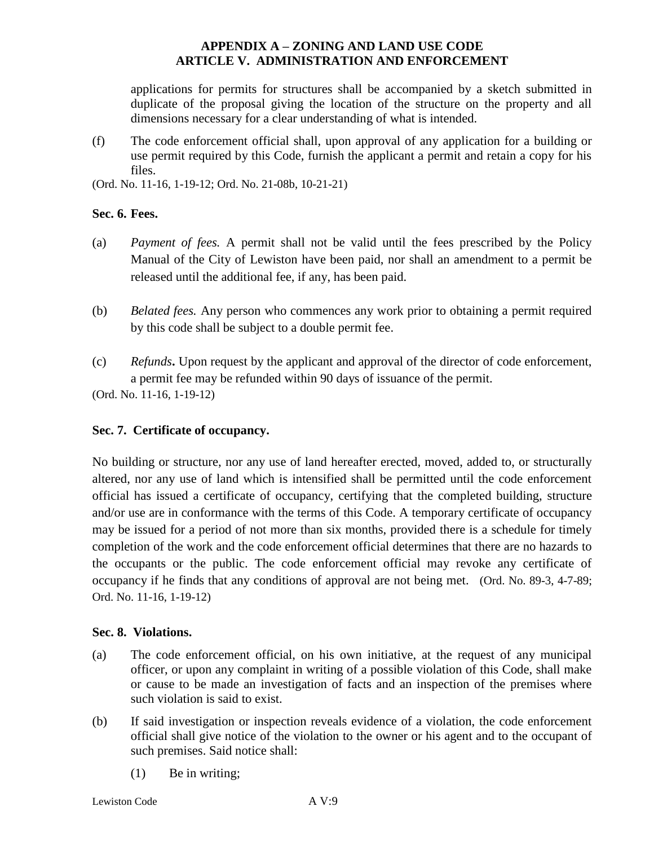applications for permits for structures shall be accompanied by a sketch submitted in duplicate of the proposal giving the location of the structure on the property and all dimensions necessary for a clear understanding of what is intended.

(f) The code enforcement official shall, upon approval of any application for a building or use permit required by this Code, furnish the applicant a permit and retain a copy for his files.

(Ord. No. 11-16, 1-19-12; Ord. No. 21-08b, 10-21-21)

### **Sec. 6. Fees.**

- (a) *Payment of fees.* A permit shall not be valid until the fees prescribed by the Policy Manual of the City of Lewiston have been paid, nor shall an amendment to a permit be released until the additional fee, if any, has been paid.
- (b) *Belated fees.* Any person who commences any work prior to obtaining a permit required by this code shall be subject to a double permit fee.
- (c) *Refunds***.** Upon request by the applicant and approval of the director of code enforcement, a permit fee may be refunded within 90 days of issuance of the permit.

(Ord. No. 11-16, 1-19-12)

# **Sec. 7. Certificate of occupancy.**

No building or structure, nor any use of land hereafter erected, moved, added to, or structurally altered, nor any use of land which is intensified shall be permitted until the code enforcement official has issued a certificate of occupancy, certifying that the completed building, structure and/or use are in conformance with the terms of this Code. A temporary certificate of occupancy may be issued for a period of not more than six months, provided there is a schedule for timely completion of the work and the code enforcement official determines that there are no hazards to the occupants or the public. The code enforcement official may revoke any certificate of occupancy if he finds that any conditions of approval are not being met. (Ord. No. 89-3, 4-7-89; Ord. No. 11-16, 1-19-12)

# **Sec. 8. Violations.**

- (a) The code enforcement official, on his own initiative, at the request of any municipal officer, or upon any complaint in writing of a possible violation of this Code, shall make or cause to be made an investigation of facts and an inspection of the premises where such violation is said to exist.
- (b) If said investigation or inspection reveals evidence of a violation, the code enforcement official shall give notice of the violation to the owner or his agent and to the occupant of such premises. Said notice shall:
	- (1) Be in writing;